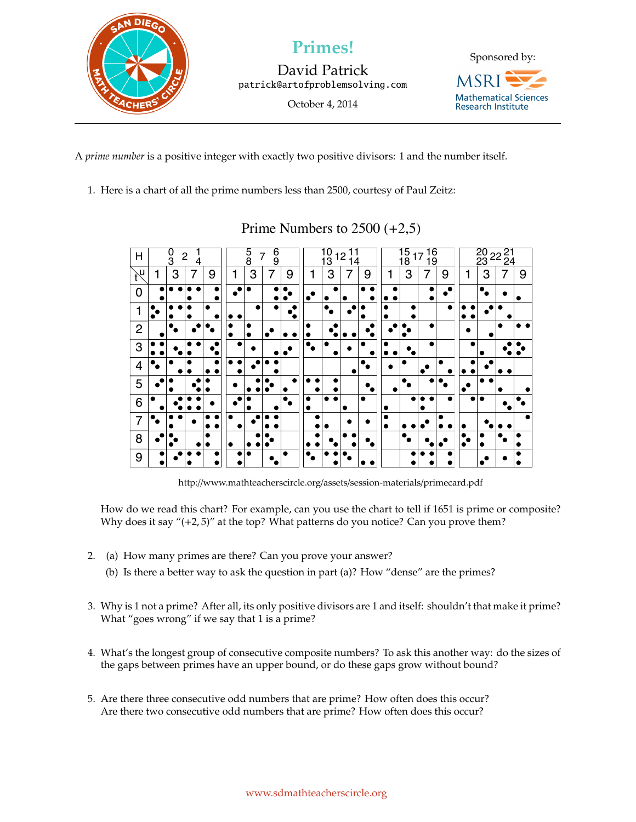

David Patrick patrick@artofproblemsolving.com

October 4, 2014



A *prime number* is a positive integer with exactly two positive divisors: 1 and the number itself.

1. Here is a chart of all the prime numbers less than 2500, courtesy of Paul Zeitz:

| Н                          | $\frac{0}{3}$<br>$\overline{c}$<br>4 |   |   |   | $\frac{6}{9}$<br>5<br>8<br>7 |   |   | $\frac{0}{3}$<br>12<br>14 |  |   |   | 16<br>19<br>15<br>18<br>17 |        |           |   | 20 22 21<br>23 22 24 |   |   |   |   |
|----------------------------|--------------------------------------|---|---|---|------------------------------|---|---|---------------------------|--|---|---|----------------------------|--------|-----------|---|----------------------|---|---|---|---|
| $\mathcal{H}^{\mathsf{U}}$ | 1                                    | 3 | 7 | 9 | 1                            | 3 | 7 | 9                         |  | 3 |   | 9                          | 1      | 3         | 7 | 9                    | 1 | 3 | 7 | 9 |
| $\Omega$                   |                                      |   |   |   | $\bullet$                    |   |   |                           |  |   |   |                            |        |           |   | ٠                    |   |   |   |   |
| 1                          |                                      |   |   |   |                              |   |   | ٠<br>۰                    |  |   |   |                            | ٠      | $\bullet$ |   | $\bullet$            |   |   |   |   |
| $\overline{2}$             |                                      |   |   |   |                              |   |   | ۰                         |  |   |   |                            |        |           |   |                      |   |   |   |   |
| 3                          |                                      |   |   |   | ٠                            |   |   |                           |  | ٠ |   |                            |        |           |   |                      |   |   |   |   |
| $\overline{4}$             |                                      |   |   |   |                              |   |   |                           |  |   |   |                            |        |           |   |                      |   |   |   |   |
| 5                          |                                      |   |   |   |                              |   |   |                           |  |   |   |                            | ●      |           |   |                      | c |   |   |   |
| 6                          |                                      |   |   |   |                              |   |   |                           |  |   | ٠ |                            |        |           |   |                      |   |   |   |   |
| $\overline{7}$             |                                      |   |   |   |                              |   |   |                           |  |   |   |                            | ٠<br>٠ |           |   |                      |   |   |   |   |
| 8                          |                                      |   |   |   |                              |   |   |                           |  |   |   |                            |        |           |   |                      |   |   |   |   |
| 9                          |                                      |   |   |   |                              |   |   |                           |  |   |   |                            |        |           |   |                      |   |   |   |   |

## Prime Numbers to  $2500 (+2,5)$

http://www.mathteacherscircle.org/assets/session-materials/primecard.pdf

How do we read this chart? For example, can you use the chart to tell if 1651 is prime or composite? Why does it say "(+2,5)" at the top? What patterns do you notice? Can you prove them?

- 2. (a) How many primes are there? Can you prove your answer?
	- (b) Is there a better way to ask the question in part (a)? How "dense" are the primes?
- 3. Why is 1 not a prime? After all, its only positive divisors are 1 and itself: shouldn't that make it prime? What "goes wrong" if we say that 1 is a prime?
- 4. What's the longest group of consecutive composite numbers? To ask this another way: do the sizes of the gaps between primes have an upper bound, or do these gaps grow without bound?
- 5. Are there three consecutive odd numbers that are prime? How often does this occur? Are there two consecutive odd numbers that are prime? How often does this occur?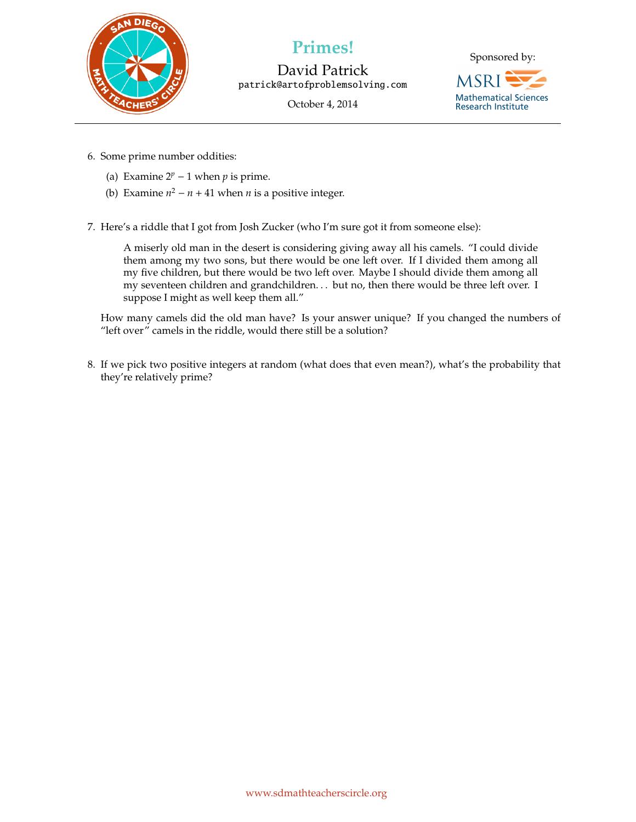

David Patrick patrick@artofproblemsolving.com

October 4, 2014



- 6. Some prime number oddities:
	- (a) Examine  $2^p 1$  when *p* is prime.
	- (b) Examine  $n^2 n + 41$  when *n* is a positive integer.
- 7. Here's a riddle that I got from Josh Zucker (who I'm sure got it from someone else):

A miserly old man in the desert is considering giving away all his camels. "I could divide them among my two sons, but there would be one left over. If I divided them among all my five children, but there would be two left over. Maybe I should divide them among all my seventeen children and grandchildren. . . but no, then there would be three left over. I suppose I might as well keep them all."

How many camels did the old man have? Is your answer unique? If you changed the numbers of "left over" camels in the riddle, would there still be a solution?

8. If we pick two positive integers at random (what does that even mean?), what's the probability that they're relatively prime?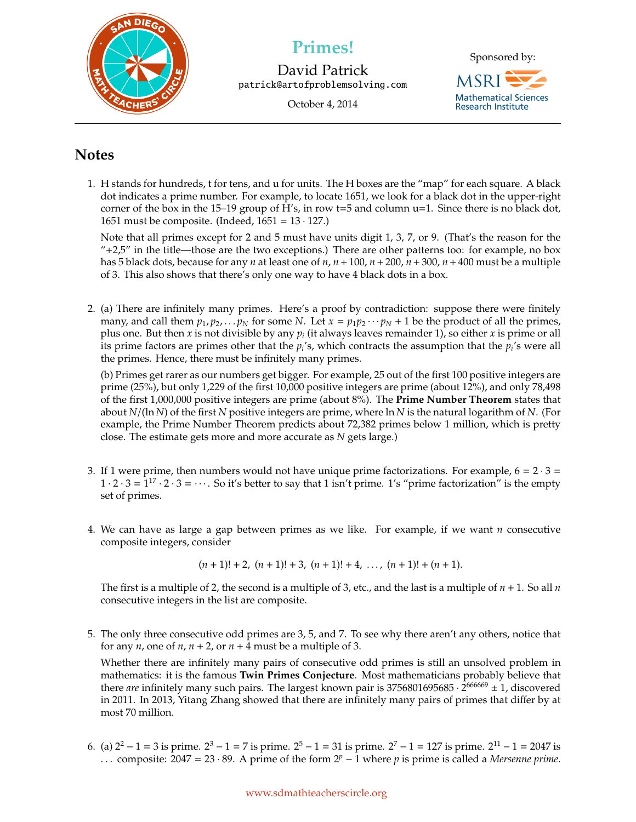

David Patrick patrick@artofproblemsolving.com

October 4, 2014



## **Notes**

1. H stands for hundreds, t for tens, and u for units. The H boxes are the "map" for each square. A black dot indicates a prime number. For example, to locate 1651, we look for a black dot in the upper-right corner of the box in the 15–19 group of H's, in row  $t=5$  and column  $u=1$ . Since there is no black dot, 1651 must be composite. (Indeed,  $1651 = 13 \cdot 127$ .)

Note that all primes except for 2 and 5 must have units digit 1, 3, 7, or 9. (That's the reason for the  $4+2.5$ " in the title—those are the two exceptions.) There are other patterns too: for example, no box has 5 black dots, because for any *n* at least one of  $n, n + 100, n + 200, n + 300, n + 400$  must be a multiple of 3. This also shows that there's only one way to have 4 black dots in a box.

2. (a) There are infinitely many primes. Here's a proof by contradiction: suppose there were finitely many, and call them  $p_1, p_2, \ldots, p_N$  for some *N*. Let  $x = p_1 p_2 \cdots p_N + 1$  be the product of all the primes, plus one. But then *x* is not divisible by any *p<sup>i</sup>* (it always leaves remainder 1), so either *x* is prime or all its prime factors are primes other that the  $p_i$ 's, which contracts the assumption that the  $p_i$ 's were all the primes. Hence, there must be infinitely many primes.

(b) Primes get rarer as our numbers get bigger. For example, 25 out of the first 100 positive integers are prime (25%), but only 1,229 of the first 10,000 positive integers are prime (about 12%), and only 78,498 of the first 1,000,000 positive integers are prime (about 8%). The **Prime Number Theorem** states that about *N*/(ln *N*) of the first *N* positive integers are prime, where ln *N* is the natural logarithm of *N*. (For example, the Prime Number Theorem predicts about 72,382 primes below 1 million, which is pretty close. The estimate gets more and more accurate as *N* gets large.)

- 3. If 1 were prime, then numbers would not have unique prime factorizations. For example,  $6 = 2 \cdot 3 =$  $1 \cdot 2 \cdot 3 = 1^{17} \cdot 2 \cdot 3 = \cdots$ . So it's better to say that 1 isn't prime. 1's "prime factorization" is the empty set of primes.
- 4. We can have as large a gap between primes as we like. For example, if we want *n* consecutive composite integers, consider

$$
(n+1)! + 2, (n+1)! + 3, (n+1)! + 4, \ldots, (n+1)! + (n+1).
$$

The first is a multiple of 2, the second is a multiple of 3, etc., and the last is a multiple of *n* + 1. So all *n* consecutive integers in the list are composite.

5. The only three consecutive odd primes are 3, 5, and 7. To see why there aren't any others, notice that for any *n*, one of *n*,  $n + 2$ , or  $n + 4$  must be a multiple of 3.

Whether there are infinitely many pairs of consecutive odd primes is still an unsolved problem in mathematics: it is the famous **Twin Primes Conjecture**. Most mathematicians probably believe that there *are* infinitely many such pairs. The largest known pair is 3756801695685  $\cdot$  2<sup>666669</sup>  $\pm$  1, discovered in 2011. In 2013, Yitang Zhang showed that there are infinitely many pairs of primes that differ by at most 70 million.

6. (a)  $2^2 - 1 = 3$  is prime.  $2^3 - 1 = 7$  is prime.  $2^5 - 1 = 31$  is prime.  $2^7 - 1 = 127$  is prime.  $2^{11} - 1 = 2047$  is . . . composite: 2047 = 23 · 89. A prime of the form 2*<sup>p</sup>* − 1 where *p* is prime is called a *Mersenne prime*.